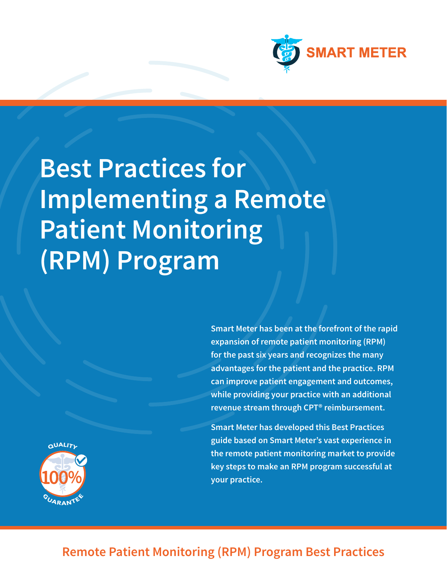

# **Best Practices for Implementing a Remote Patient Monitoring (RPM) Program**

**Smart Meter has been at the forefront of the rapid expansion of remote patient monitoring (RPM) for the past six years and recognizes the many advantages for the patient and the practice. RPM can improve patient engagement and outcomes, while providing your practice with an additional revenue stream through CPT® reimbursement.**

**Smart Meter has developed this Best Practices guide based on Smart Meter's vast experience in the remote patient monitoring market to provide key steps to make an RPM program successful at your practice.**



# **Remote Patient Monitoring (RPM) Program Best Practices**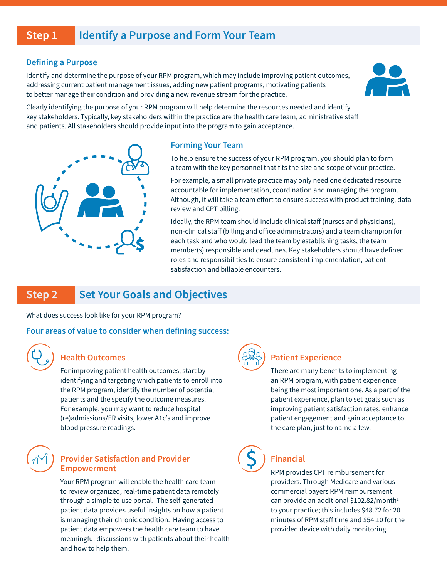### **Step 1 Identify a Purpose and Form Your Team**

#### **Defining a Purpose**

Identify and determine the purpose of your RPM program, which may include improving patient outcomes, addressing current patient management issues, adding new patient programs, motivating patients to better manage their condition and providing a new revenue stream for the practice.



Clearly identifying the purpose of your RPM program will help determine the resources needed and identify key stakeholders. Typically, key stakeholders within the practice are the health care team, administrative staff and patients. All stakeholders should provide input into the program to gain acceptance.



### **Forming Your Team**

To help ensure the success of your RPM program, you should plan to form a team with the key personnel that fits the size and scope of your practice.

For example, a small private practice may only need one dedicated resource accountable for implementation, coordination and managing the program. Although, it will take a team effort to ensure success with product training, data review and CPT billing.

Ideally, the RPM team should include clinical staff (nurses and physicians), non-clinical staff (billing and office administrators) and a team champion for each task and who would lead the team by establishing tasks, the team member(s) responsible and deadlines. Key stakeholders should have defined roles and responsibilities to ensure consistent implementation, patient satisfaction and billable encounters.

### **Step 2 Set Your Goals and Objectives**

What does success look like for your RPM program?

### **Four areas of value to consider when defining success:**



### **Health Outcomes**

For improving patient health outcomes, start by identifying and targeting which patients to enroll into the RPM program, identify the number of potential patients and the specify the outcome measures. For example, you may want to reduce hospital (re)admissions/ER visits, lower A1c's and improve blood pressure readings.



### **Provider Satisfaction and Provider Empowerment**

Your RPM program will enable the health care team to review organized, real-time patient data remotely through a simple to use portal. The self-generated patient data provides useful insights on how a patient is managing their chronic condition. Having access to patient data empowers the health care team to have meaningful discussions with patients about their health and how to help them.



### **Patient Experience**

There are many benefits to implementing an RPM program, with patient experience being the most important one. As a part of the patient experience, plan to set goals such as improving patient satisfaction rates, enhance patient engagement and gain acceptance to the care plan, just to name a few.



### **Financial**

RPM provides CPT reimbursement for providers. Through Medicare and various commercial payers RPM reimbursement can provide an additional \$102.82/month<sup>1</sup> to your practice; this includes \$48.72 for 20 minutes of RPM staff time and \$54.10 for the provided device with daily monitoring.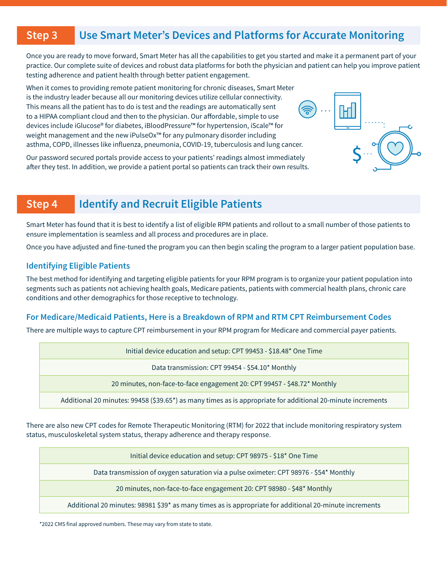### **Step 3 Use Smart Meter's Devices and Platforms for Accurate Monitoring**

Once you are ready to move forward, Smart Meter has all the capabilities to get you started and make it a permanent part of your practice. Our complete suite of devices and robust data platforms for both the physician and patient can help you improve patient testing adherence and patient health through better patient engagement.

When it comes to providing remote patient monitoring for chronic diseases, Smart Meter is the industry leader because all our monitoring devices utilize cellular connectivity. This means all the patient has to do is test and the readings are automatically sent to a HIPAA compliant cloud and then to the physician. Our affordable, simple to use devices include iGlucose® for diabetes, iBloodPressure™ for hypertension, iScale™ for weight management and the new iPulseOx™ for any pulmonary disorder including asthma, COPD, illnesses like influenza, pneumonia, COVID-19, tuberculosis and lung cancer.

Our password secured portals provide access to your patients' readings almost immediately after they test. In addition, we provide a patient portal so patients can track their own results.

## **Step 4 Identify and Recruit Eligible Patients**

Smart Meter has found that it is best to identify a list of eligible RPM patients and rollout to a small number of those patients to ensure implementation is seamless and all process and procedures are in place.

Once you have adjusted and fine-tuned the program you can then begin scaling the program to a larger patient population base.

### **Identifying Eligible Patients**

The best method for identifying and targeting eligible patients for your RPM program is to organize your patient population into segments such as patients not achieving health goals, Medicare patients, patients with commercial health plans, chronic care conditions and other demographics for those receptive to technology.

### **For Medicare/Medicaid Patients, Here is a Breakdown of RPM and RTM CPT Reimbursement Codes**

There are multiple ways to capture CPT reimbursement in your RPM program for Medicare and commercial payer patients.

| Initial device education and setup: CPT 99453 - \$18.48* One Time                                           |
|-------------------------------------------------------------------------------------------------------------|
| Data transmission: CPT 99454 - \$54.10* Monthly                                                             |
| 20 minutes, non-face-to-face engagement 20: CPT 99457 - \$48.72* Monthly                                    |
| Additional 20 minutes: 99458 (\$39.65*) as many times as is appropriate for additional 20-minute increments |

There are also new CPT codes for Remote Therapeutic Monitoring (RTM) for 2022 that include monitoring respiratory system status, musculoskeletal system status, therapy adherence and therapy response.

Initial device education and setup: CPT 98975 - \$18\* One Time

Data transmission of oxygen saturation via a pulse oximeter: CPT 98976 - \$54\* Monthly

20 minutes, non-face-to-face engagement 20: CPT 98980 - \$48\* Monthly

Additional 20 minutes: 98981 \$39\* as many times as is appropriate for additional 20-minute increments

\*2022 CMS final approved numbers. These may vary from state to state.